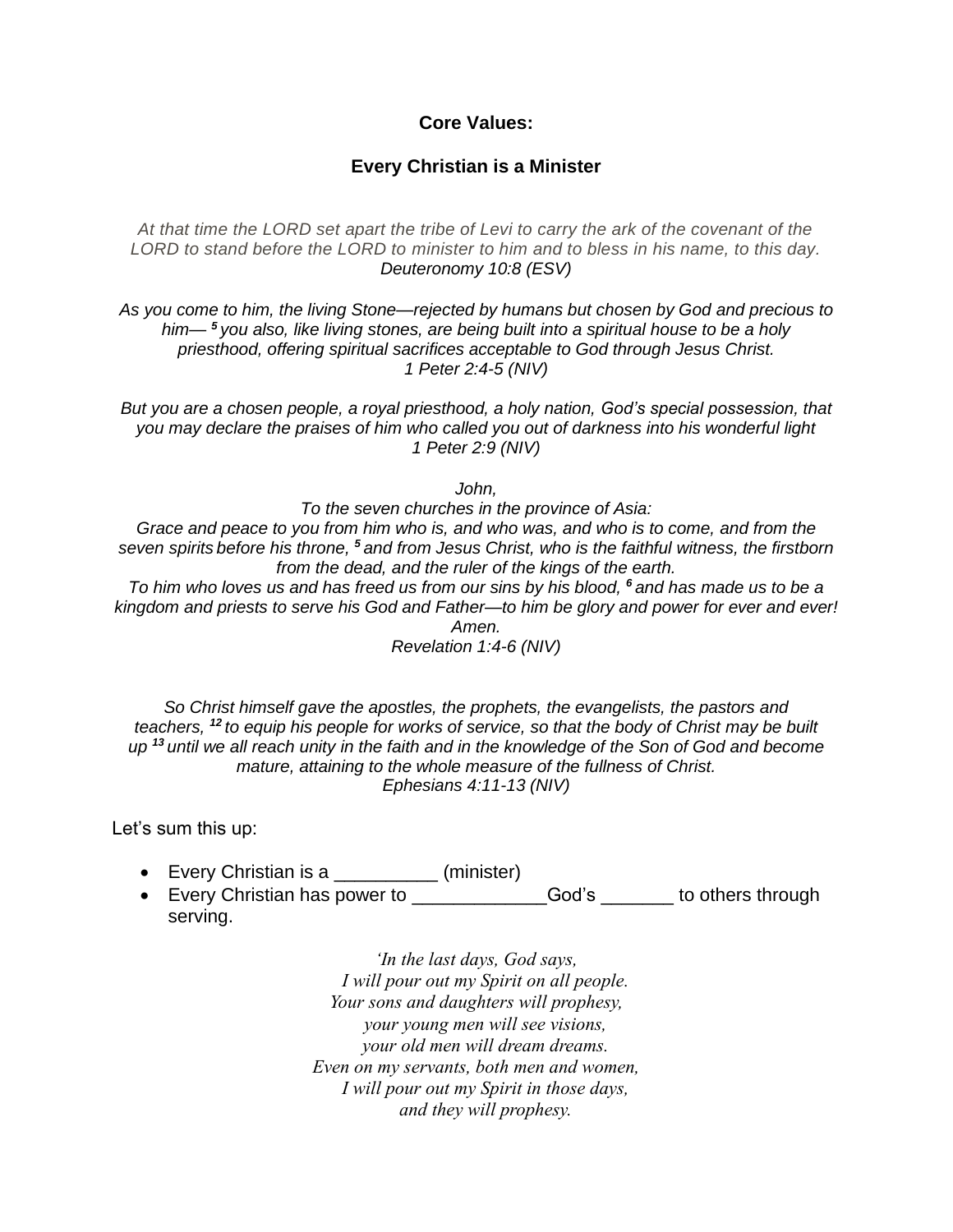## **Core Values:**

## **Every Christian is a Minister**

*At that time the LORD set apart the tribe of Levi to carry the ark of the covenant of the LORD to stand before the LORD to minister to him and to bless in his name, to this day. Deuteronomy 10:8 (ESV)*

*As you come to him, the living Stone—rejected by humans but chosen by God and precious to him— <sup>5</sup> you also, like living stones, are being built into a spiritual house to be a holy priesthood, offering spiritual sacrifices acceptable to God through Jesus Christ. 1 Peter 2:4-5 (NIV)*

*But you are a chosen people, a royal priesthood, a holy nation, God's special possession, that you may declare the praises of him who called you out of darkness into his wonderful light 1 Peter 2:9 (NIV)*

*John,*

*To the seven churches in the province of Asia: Grace and peace to you from him who is, and who was, and who is to come, and from the seven spirits before his throne, <sup>5</sup> and from Jesus Christ, who is the faithful witness, the firstborn from the dead, and the ruler of the kings of the earth. To him who loves us and has freed us from our sins by his blood, <sup>6</sup> and has made us to be a* 

*kingdom and priests to serve his God and Father—to him be glory and power for ever and ever! Amen.*

*Revelation 1:4-6 (NIV)*

*So Christ himself gave the apostles, the prophets, the evangelists, the pastors and teachers, <sup>12</sup> to equip his people for works of service, so that the body of Christ may be built up <sup>13</sup> until we all reach unity in the faith and in the knowledge of the Son of God and become mature, attaining to the whole measure of the fullness of Christ. Ephesians 4:11-13 (NIV)*

Let's sum this up:

- Every Christian is a \_\_\_\_\_\_\_\_\_\_ (minister)
- Every Christian has power to \_\_\_\_\_\_\_\_\_\_\_\_\_\_\_God's \_\_\_\_\_\_\_ to others through serving.

*'In the last days, God says, I will pour out my Spirit on all people. Your sons and daughters will prophesy, your young men will see visions, your old men will dream dreams. Even on my servants, both men and women, I will pour out my Spirit in those days, and they will prophesy.*